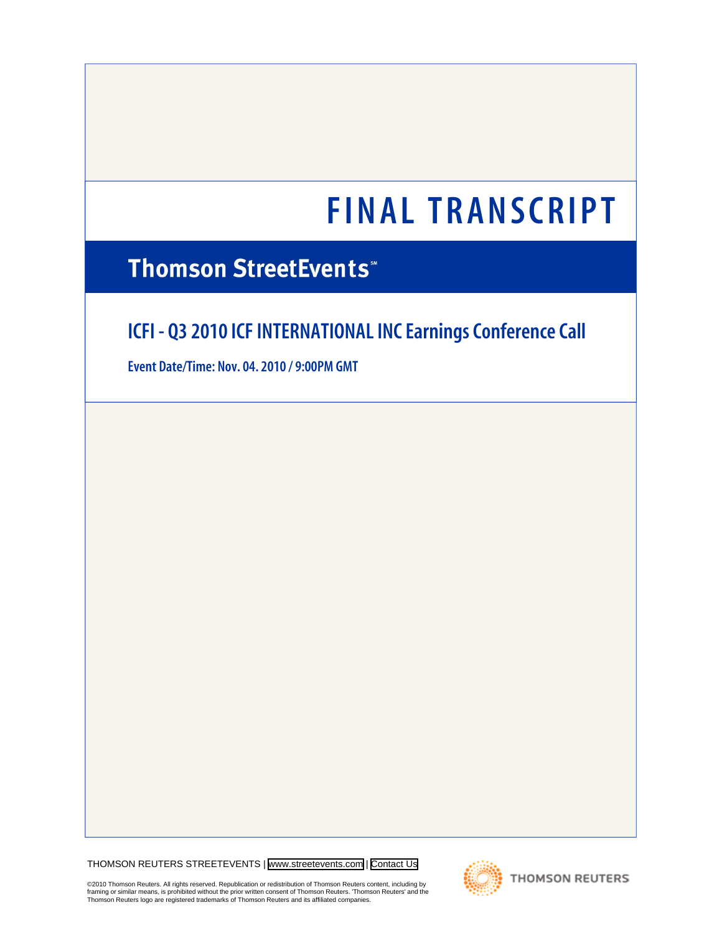# **Thomson StreetEvents\***

# **ICFI - Q3 2010 ICF INTERNATIONAL INC Earnings Conference Call**

**Event Date/Time: Nov. 04. 2010 / 9:00PM GMT**

THOMSON REUTERS STREETEVENTS | [www.streetevents.com](http://www.streetevents.com) | [Contact Us](http://www010.streetevents.com/contact.asp)

©2010 Thomson Reuters. All rights reserved. Republication or redistribution of Thomson Reuters content, including by<br>framing or similar means, is prohibited without the prior written consent of Thomson Reuters. 'Thomson Re

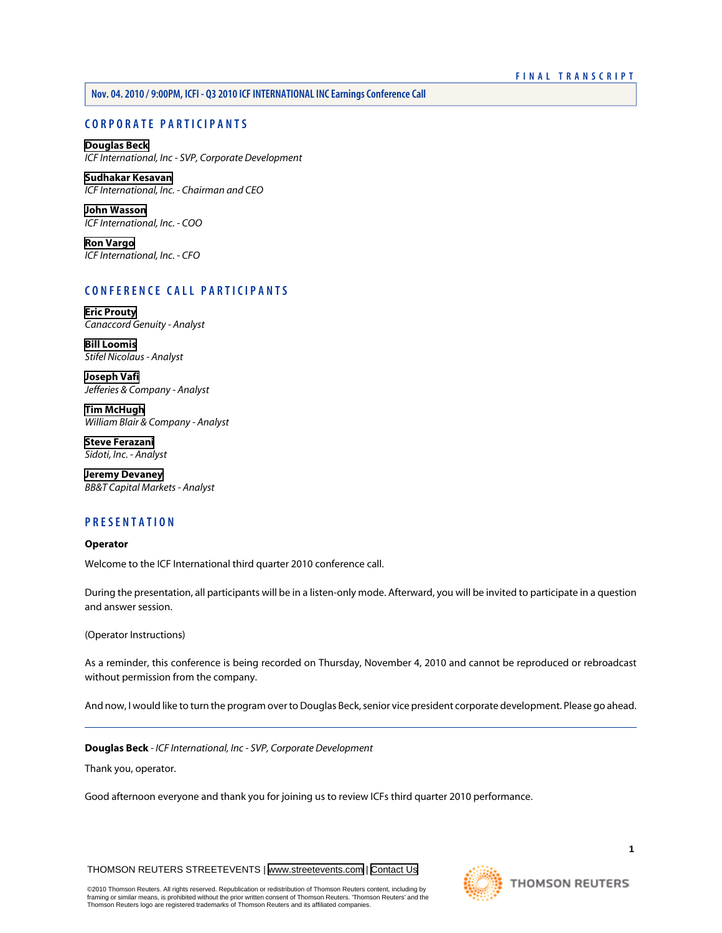# **Nov. 04. 2010 / 9:00PM, ICFI - Q3 2010 ICF INTERNATIONAL INC Earnings Conference Call**

# **CORPORATE PARTICIPANTS**

**[Douglas Beck](#page-1-0)** *ICF International, Inc - SVP, Corporate Development*

#### **[Sudhakar Kesavan](#page-2-0)** *ICF International, Inc. - Chairman and CEO*

**[John Wasson](#page-3-0)** *ICF International, Inc. - COO*

**[Ron Vargo](#page-4-0)** *ICF International, Inc. - CFO*

# **CONFERENCE CALL PARTICIPANTS**

**[Eric Prouty](#page-6-0)** *Canaccord Genuity - Analyst*

**[Bill Loomis](#page-8-0)** *Stifel Nicolaus - Analyst*

**[Joseph Vafi](#page-9-0)** *Jefferies & Company - Analyst*

**[Tim McHugh](#page-11-0)** *William Blair & Company - Analyst*

**[Steve Ferazani](#page-13-0)** *Sidoti, Inc. - Analyst*

**[Jeremy Devaney](#page-15-0)** *BB&T Capital Markets - Analyst*

# **PRESENTATION**

# **Operator**

Welcome to the ICF International third quarter 2010 conference call.

During the presentation, all participants will be in a listen-only mode. Afterward, you will be invited to participate in a question and answer session.

(Operator Instructions)

<span id="page-1-0"></span>As a reminder, this conference is being recorded on Thursday, November 4, 2010 and cannot be reproduced or rebroadcast without permission from the company.

And now, I would like to turn the program over to Douglas Beck, senior vice president corporate development. Please go ahead.

**Douglas Beck** *- ICF International, Inc - SVP, Corporate Development*

Thank you, operator.

Good afternoon everyone and thank you for joining us to review ICFs third quarter 2010 performance.

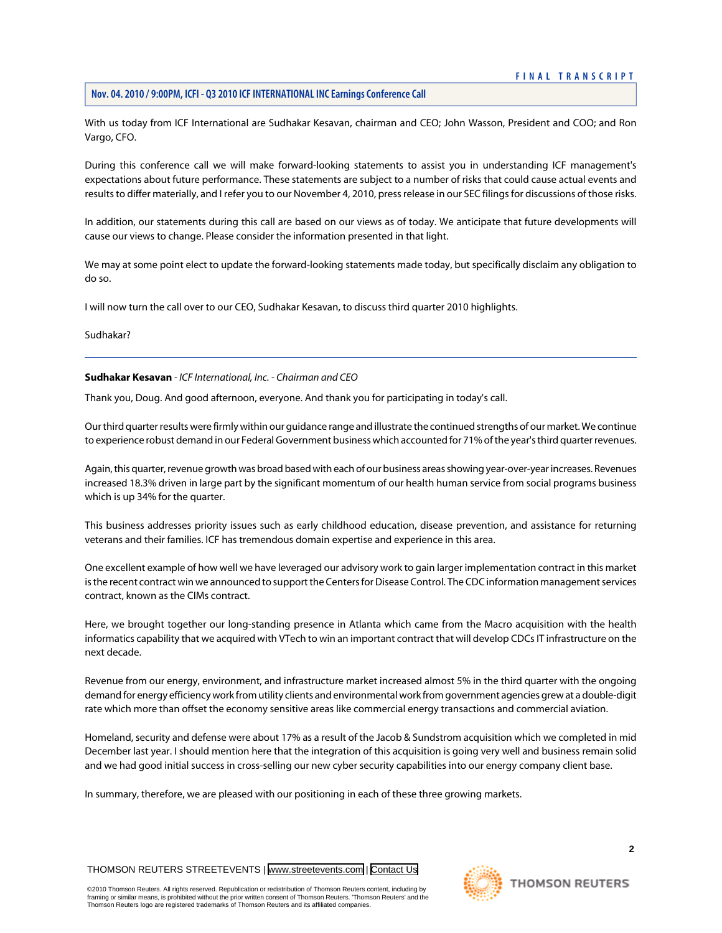#### **Nov. 04. 2010 / 9:00PM, ICFI - Q3 2010 ICF INTERNATIONAL INC Earnings Conference Call**

With us today from ICF International are Sudhakar Kesavan, chairman and CEO; John Wasson, President and COO; and Ron Vargo, CFO.

During this conference call we will make forward-looking statements to assist you in understanding ICF management's expectations about future performance. These statements are subject to a number of risks that could cause actual events and results to differ materially, and I refer you to our November 4, 2010, press release in our SEC filings for discussions of those risks.

In addition, our statements during this call are based on our views as of today. We anticipate that future developments will cause our views to change. Please consider the information presented in that light.

We may at some point elect to update the forward-looking statements made today, but specifically disclaim any obligation to do so.

I will now turn the call over to our CEO, Sudhakar Kesavan, to discuss third quarter 2010 highlights.

<span id="page-2-0"></span>Sudhakar?

# **Sudhakar Kesavan** *- ICF International, Inc. - Chairman and CEO*

Thank you, Doug. And good afternoon, everyone. And thank you for participating in today's call.

Our third quarter results were firmly within our guidance range and illustrate the continued strengths of our market. We continue to experience robust demand in our Federal Government business which accounted for 71% of the year's third quarter revenues.

Again, this quarter, revenue growth was broad based with each of our business areas showing year-over-year increases. Revenues increased 18.3% driven in large part by the significant momentum of our health human service from social programs business which is up 34% for the quarter.

This business addresses priority issues such as early childhood education, disease prevention, and assistance for returning veterans and their families. ICF has tremendous domain expertise and experience in this area.

One excellent example of how well we have leveraged our advisory work to gain larger implementation contract in this market is the recent contract win we announced to support the Centers for Disease Control. The CDC information management services contract, known as the CIMs contract.

Here, we brought together our long-standing presence in Atlanta which came from the Macro acquisition with the health informatics capability that we acquired with VTech to win an important contract that will develop CDCs IT infrastructure on the next decade.

Revenue from our energy, environment, and infrastructure market increased almost 5% in the third quarter with the ongoing demand for energy efficiency work from utility clients and environmental work from government agencies grew at a double-digit rate which more than offset the economy sensitive areas like commercial energy transactions and commercial aviation.

Homeland, security and defense were about 17% as a result of the Jacob & Sundstrom acquisition which we completed in mid December last year. I should mention here that the integration of this acquisition is going very well and business remain solid and we had good initial success in cross-selling our new cyber security capabilities into our energy company client base.

In summary, therefore, we are pleased with our positioning in each of these three growing markets.



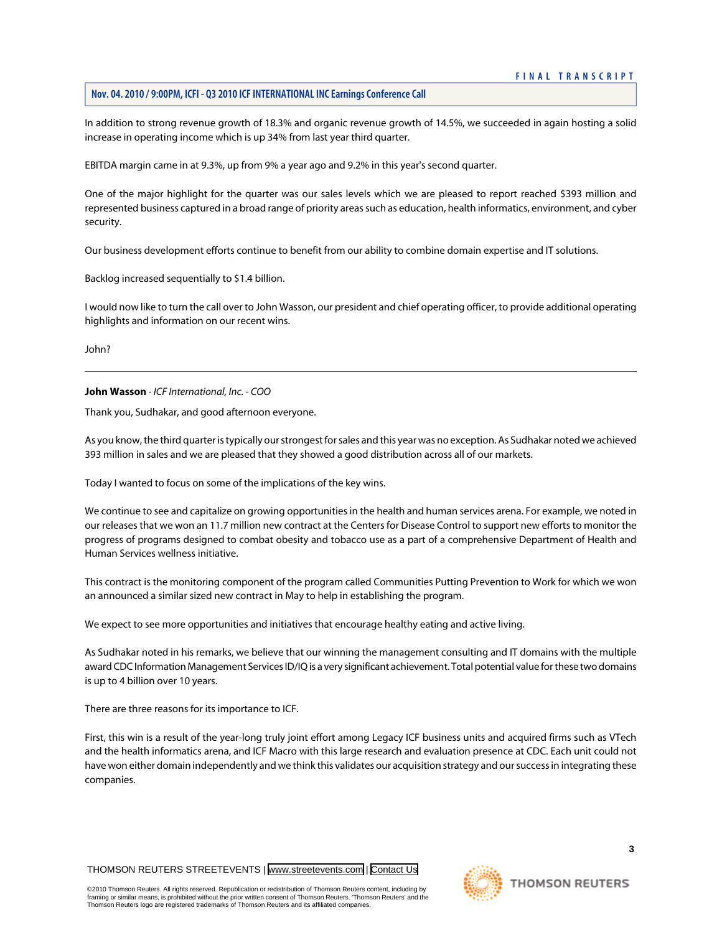In addition to strong revenue growth of 18.3% and organic revenue growth of 14.5%, we succeeded in again hosting a solid increase in operating income which is up 34% from last year third quarter.

EBITDA margin came in at 9.3%, up from 9% a year ago and 9.2% in this year's second quarter.

One of the major highlight for the quarter was our sales levels which we are pleased to report reached \$393 million and represented business captured in a broad range of priority areas such as education, health informatics, environment, and cyber security.

Our business development efforts continue to benefit from our ability to combine domain expertise and IT solutions.

Backlog increased sequentially to \$1.4 billion.

I would now like to turn the call over to John Wasson, our president and chief operating officer, to provide additional operating highlights and information on our recent wins.

<span id="page-3-0"></span>John?

# **John Wasson** *- ICF International, Inc. - COO*

Thank you, Sudhakar, and good afternoon everyone.

As you know, the third quarter is typically our strongest for sales and this year was no exception. As Sudhakar noted we achieved 393 million in sales and we are pleased that they showed a good distribution across all of our markets.

Today I wanted to focus on some of the implications of the key wins.

We continue to see and capitalize on growing opportunities in the health and human services arena. For example, we noted in our releases that we won an 11.7 million new contract at the Centers for Disease Control to support new efforts to monitor the progress of programs designed to combat obesity and tobacco use as a part of a comprehensive Department of Health and Human Services wellness initiative.

This contract is the monitoring component of the program called Communities Putting Prevention to Work for which we won an announced a similar sized new contract in May to help in establishing the program.

We expect to see more opportunities and initiatives that encourage healthy eating and active living.

As Sudhakar noted in his remarks, we believe that our winning the management consulting and IT domains with the multiple award CDC Information Management Services ID/IQ is a very significant achievement. Total potential value for these two domains is up to 4 billion over 10 years.

There are three reasons for its importance to ICF.

First, this win is a result of the year-long truly joint effort among Legacy ICF business units and acquired firms such as VTech and the health informatics arena, and ICF Macro with this large research and evaluation presence at CDC. Each unit could not have won either domain independently and we think this validates our acquisition strategy and our success in integrating these companies.

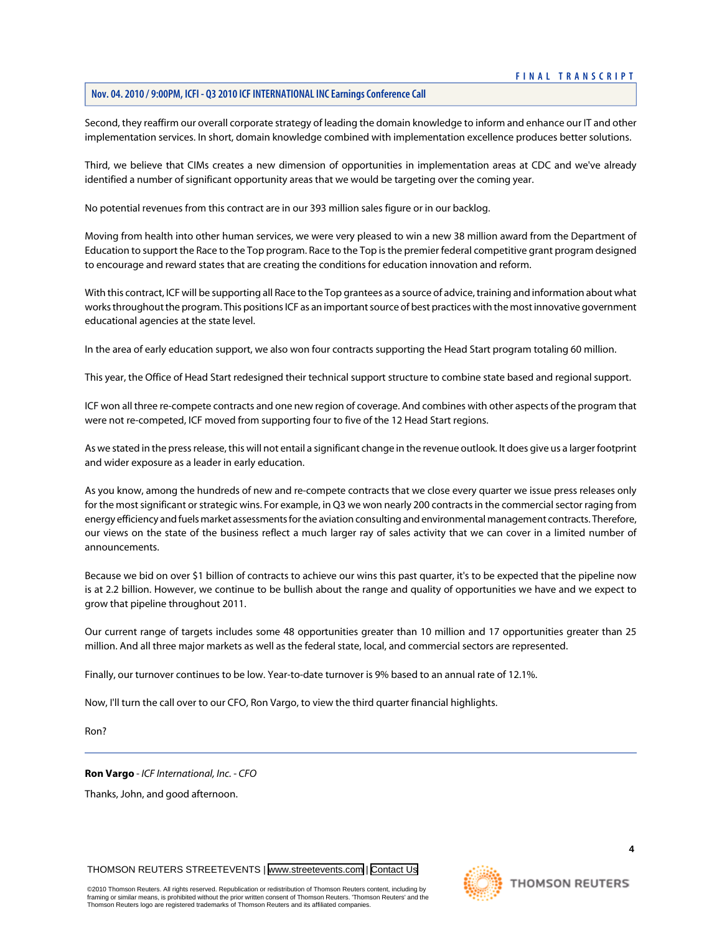# **Nov. 04. 2010 / 9:00PM, ICFI - Q3 2010 ICF INTERNATIONAL INC Earnings Conference Call**

Second, they reaffirm our overall corporate strategy of leading the domain knowledge to inform and enhance our IT and other implementation services. In short, domain knowledge combined with implementation excellence produces better solutions.

Third, we believe that CIMs creates a new dimension of opportunities in implementation areas at CDC and we've already identified a number of significant opportunity areas that we would be targeting over the coming year.

No potential revenues from this contract are in our 393 million sales figure or in our backlog.

Moving from health into other human services, we were very pleased to win a new 38 million award from the Department of Education to support the Race to the Top program. Race to the Top is the premier federal competitive grant program designed to encourage and reward states that are creating the conditions for education innovation and reform.

With this contract, ICF will be supporting all Race to the Top grantees as a source of advice, training and information about what works throughout the program. This positions ICF as an important source of best practices with the most innovative government educational agencies at the state level.

In the area of early education support, we also won four contracts supporting the Head Start program totaling 60 million.

This year, the Office of Head Start redesigned their technical support structure to combine state based and regional support.

ICF won all three re-compete contracts and one new region of coverage. And combines with other aspects of the program that were not re-competed, ICF moved from supporting four to five of the 12 Head Start regions.

As we stated in the press release, this will not entail a significant change in the revenue outlook. It does give us a larger footprint and wider exposure as a leader in early education.

As you know, among the hundreds of new and re-compete contracts that we close every quarter we issue press releases only for the most significant or strategic wins. For example, in Q3 we won nearly 200 contracts in the commercial sector raging from energy efficiency and fuels market assessments for the aviation consulting and environmental management contracts. Therefore, our views on the state of the business reflect a much larger ray of sales activity that we can cover in a limited number of announcements.

Because we bid on over \$1 billion of contracts to achieve our wins this past quarter, it's to be expected that the pipeline now is at 2.2 billion. However, we continue to be bullish about the range and quality of opportunities we have and we expect to grow that pipeline throughout 2011.

Our current range of targets includes some 48 opportunities greater than 10 million and 17 opportunities greater than 25 million. And all three major markets as well as the federal state, local, and commercial sectors are represented.

Finally, our turnover continues to be low. Year-to-date turnover is 9% based to an annual rate of 12.1%.

<span id="page-4-0"></span>Now, I'll turn the call over to our CFO, Ron Vargo, to view the third quarter financial highlights.

Ron?

**Ron Vargo** *- ICF International, Inc. - CFO*

Thanks, John, and good afternoon.

THOMSON REUTERS STREETEVENTS | [www.streetevents.com](http://www.streetevents.com) | [Contact Us](http://www010.streetevents.com/contact.asp)



**4**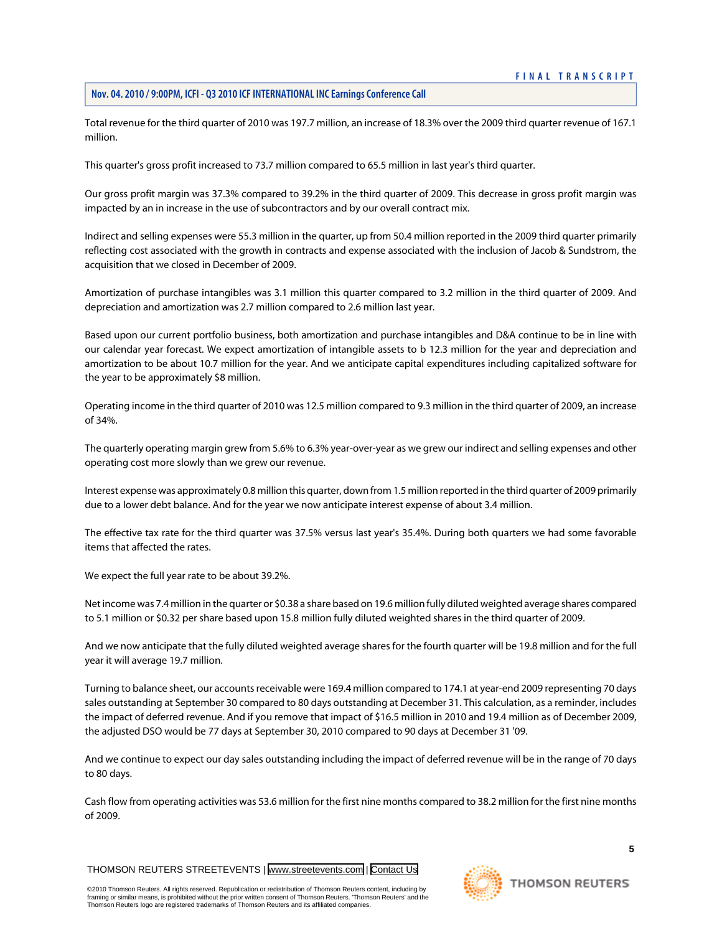Total revenue for the third quarter of 2010 was 197.7 million, an increase of 18.3% over the 2009 third quarter revenue of 167.1 million.

This quarter's gross profit increased to 73.7 million compared to 65.5 million in last year's third quarter.

Our gross profit margin was 37.3% compared to 39.2% in the third quarter of 2009. This decrease in gross profit margin was impacted by an in increase in the use of subcontractors and by our overall contract mix.

Indirect and selling expenses were 55.3 million in the quarter, up from 50.4 million reported in the 2009 third quarter primarily reflecting cost associated with the growth in contracts and expense associated with the inclusion of Jacob & Sundstrom, the acquisition that we closed in December of 2009.

Amortization of purchase intangibles was 3.1 million this quarter compared to 3.2 million in the third quarter of 2009. And depreciation and amortization was 2.7 million compared to 2.6 million last year.

Based upon our current portfolio business, both amortization and purchase intangibles and D&A continue to be in line with our calendar year forecast. We expect amortization of intangible assets to b 12.3 million for the year and depreciation and amortization to be about 10.7 million for the year. And we anticipate capital expenditures including capitalized software for the year to be approximately \$8 million.

Operating income in the third quarter of 2010 was 12.5 million compared to 9.3 million in the third quarter of 2009, an increase of 34%.

The quarterly operating margin grew from 5.6% to 6.3% year-over-year as we grew our indirect and selling expenses and other operating cost more slowly than we grew our revenue.

Interest expense was approximately 0.8 million this quarter, down from 1.5 million reported in the third quarter of 2009 primarily due to a lower debt balance. And for the year we now anticipate interest expense of about 3.4 million.

The effective tax rate for the third quarter was 37.5% versus last year's 35.4%. During both quarters we had some favorable items that affected the rates.

We expect the full year rate to be about 39.2%.

Net income was 7.4 million in the quarter or \$0.38 a share based on 19.6 million fully diluted weighted average shares compared to 5.1 million or \$0.32 per share based upon 15.8 million fully diluted weighted shares in the third quarter of 2009.

And we now anticipate that the fully diluted weighted average shares for the fourth quarter will be 19.8 million and for the full year it will average 19.7 million.

Turning to balance sheet, our accounts receivable were 169.4 million compared to 174.1 at year-end 2009 representing 70 days sales outstanding at September 30 compared to 80 days outstanding at December 31. This calculation, as a reminder, includes the impact of deferred revenue. And if you remove that impact of \$16.5 million in 2010 and 19.4 million as of December 2009, the adjusted DSO would be 77 days at September 30, 2010 compared to 90 days at December 31 '09.

And we continue to expect our day sales outstanding including the impact of deferred revenue will be in the range of 70 days to 80 days.

Cash flow from operating activities was 53.6 million for the first nine months compared to 38.2 million for the first nine months of 2009.

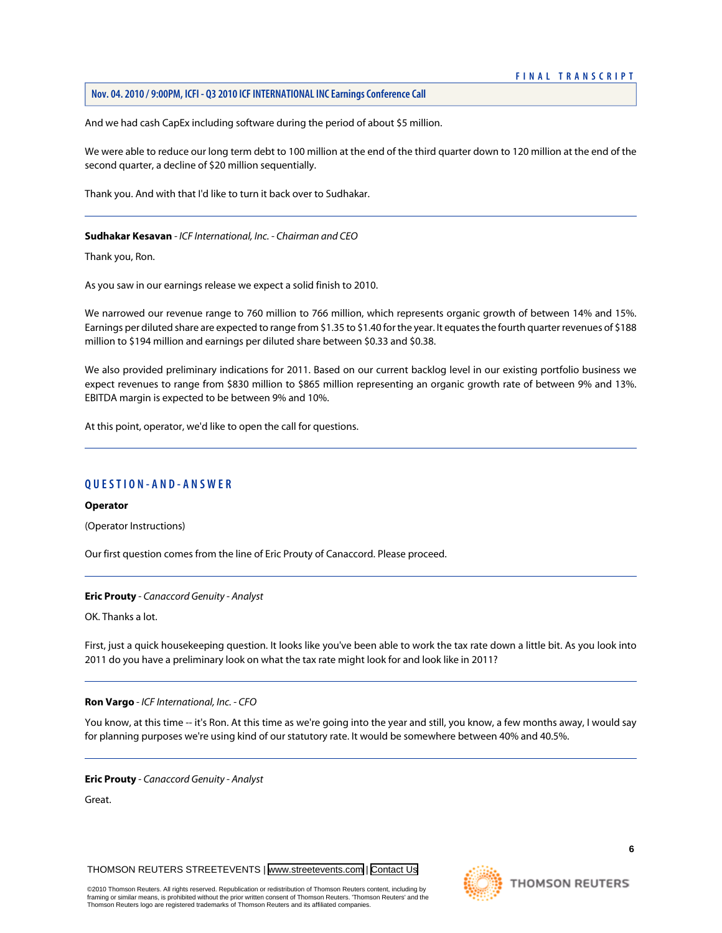And we had cash CapEx including software during the period of about \$5 million.

We were able to reduce our long term debt to 100 million at the end of the third quarter down to 120 million at the end of the second quarter, a decline of \$20 million sequentially.

Thank you. And with that I'd like to turn it back over to Sudhakar.

**Sudhakar Kesavan** *- ICF International, Inc. - Chairman and CEO*

Thank you, Ron.

As you saw in our earnings release we expect a solid finish to 2010.

We narrowed our revenue range to 760 million to 766 million, which represents organic growth of between 14% and 15%. Earnings per diluted share are expected to range from \$1.35 to \$1.40 for the year. It equates the fourth quarter revenues of \$188 million to \$194 million and earnings per diluted share between \$0.33 and \$0.38.

We also provided preliminary indications for 2011. Based on our current backlog level in our existing portfolio business we expect revenues to range from \$830 million to \$865 million representing an organic growth rate of between 9% and 13%. EBITDA margin is expected to be between 9% and 10%.

At this point, operator, we'd like to open the call for questions.

# **QUESTION-AND-ANSWER**

#### **Operator**

<span id="page-6-0"></span>(Operator Instructions)

Our first question comes from the line of Eric Prouty of Canaccord. Please proceed.

#### **Eric Prouty** *- Canaccord Genuity - Analyst*

OK. Thanks a lot.

First, just a quick housekeeping question. It looks like you've been able to work the tax rate down a little bit. As you look into 2011 do you have a preliminary look on what the tax rate might look for and look like in 2011?

**Ron Vargo** *- ICF International, Inc. - CFO*

You know, at this time -- it's Ron. At this time as we're going into the year and still, you know, a few months away, I would say for planning purposes we're using kind of our statutory rate. It would be somewhere between 40% and 40.5%.

**Eric Prouty** *- Canaccord Genuity - Analyst*

Great.

THOMSON REUTERS STREETEVENTS | [www.streetevents.com](http://www.streetevents.com) | [Contact Us](http://www010.streetevents.com/contact.asp)

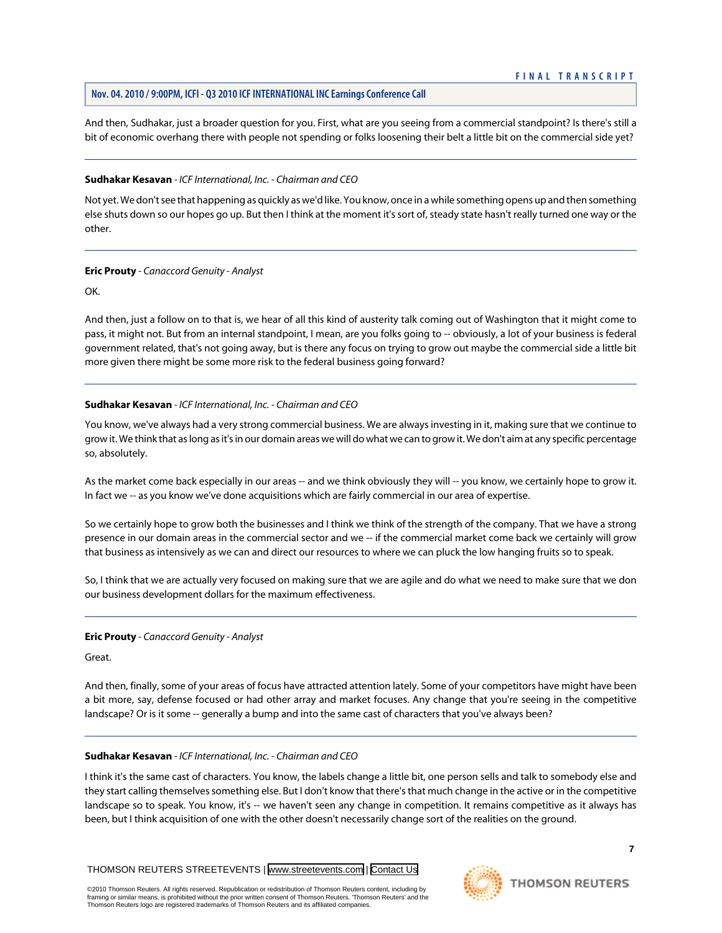# **Nov. 04. 2010 / 9:00PM, ICFI - Q3 2010 ICF INTERNATIONAL INC Earnings Conference Call**

And then, Sudhakar, just a broader question for you. First, what are you seeing from a commercial standpoint? Is there's still a bit of economic overhang there with people not spending or folks loosening their belt a little bit on the commercial side yet?

#### **Sudhakar Kesavan** *- ICF International, Inc. - Chairman and CEO*

Not yet. We don't see that happening as quickly as we'd like. You know, once in a while something opens up and then something else shuts down so our hopes go up. But then I think at the moment it's sort of, steady state hasn't really turned one way or the other.

# **Eric Prouty** *- Canaccord Genuity - Analyst*

OK.

And then, just a follow on to that is, we hear of all this kind of austerity talk coming out of Washington that it might come to pass, it might not. But from an internal standpoint, I mean, are you folks going to -- obviously, a lot of your business is federal government related, that's not going away, but is there any focus on trying to grow out maybe the commercial side a little bit more given there might be some more risk to the federal business going forward?

# **Sudhakar Kesavan** *- ICF International, Inc. - Chairman and CEO*

You know, we've always had a very strong commercial business. We are always investing in it, making sure that we continue to grow it. We think that as long as it's in our domain areas we will do what we can to grow it. We don't aim at any specific percentage so, absolutely.

As the market come back especially in our areas -- and we think obviously they will -- you know, we certainly hope to grow it. In fact we -- as you know we've done acquisitions which are fairly commercial in our area of expertise.

So we certainly hope to grow both the businesses and I think we think of the strength of the company. That we have a strong presence in our domain areas in the commercial sector and we -- if the commercial market come back we certainly will grow that business as intensively as we can and direct our resources to where we can pluck the low hanging fruits so to speak.

So, I think that we are actually very focused on making sure that we are agile and do what we need to make sure that we don our business development dollars for the maximum effectiveness.

#### **Eric Prouty** *- Canaccord Genuity - Analyst*

Great.

And then, finally, some of your areas of focus have attracted attention lately. Some of your competitors have might have been a bit more, say, defense focused or had other array and market focuses. Any change that you're seeing in the competitive landscape? Or is it some -- generally a bump and into the same cast of characters that you've always been?

# **Sudhakar Kesavan** *- ICF International, Inc. - Chairman and CEO*

I think it's the same cast of characters. You know, the labels change a little bit, one person sells and talk to somebody else and they start calling themselves something else. But I don't know that there's that much change in the active or in the competitive landscape so to speak. You know, it's -- we haven't seen any change in competition. It remains competitive as it always has been, but I think acquisition of one with the other doesn't necessarily change sort of the realities on the ground.

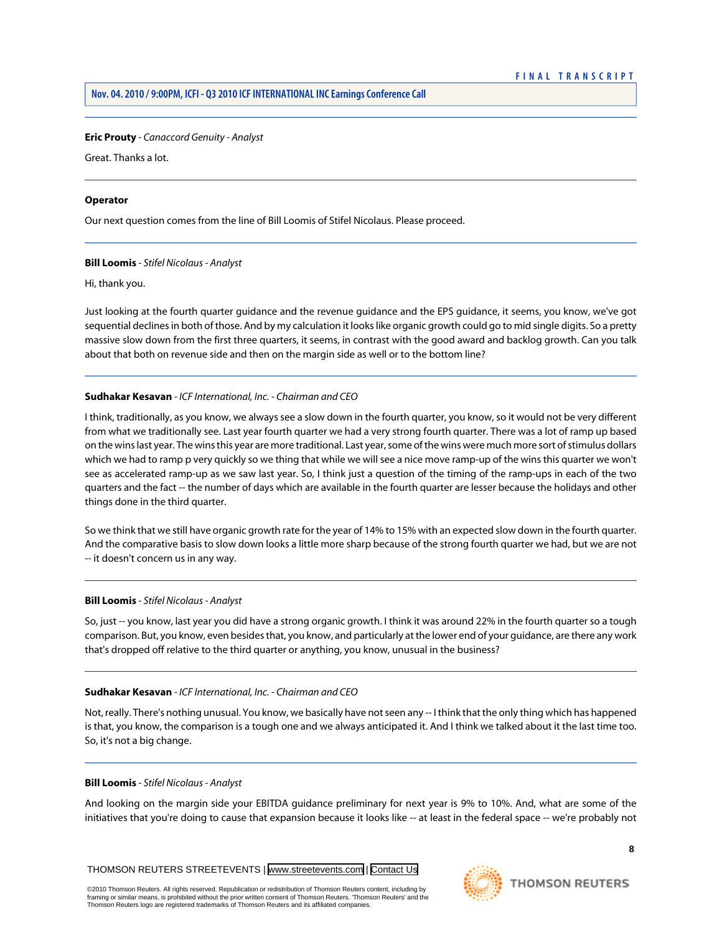#### **Eric Prouty** *- Canaccord Genuity - Analyst*

Great. Thanks a lot.

#### **Operator**

<span id="page-8-0"></span>Our next question comes from the line of Bill Loomis of Stifel Nicolaus. Please proceed.

# **Bill Loomis** *- Stifel Nicolaus - Analyst*

Hi, thank you.

Just looking at the fourth quarter guidance and the revenue guidance and the EPS guidance, it seems, you know, we've got sequential declines in both of those. And by my calculation it looks like organic growth could go to mid single digits. So a pretty massive slow down from the first three quarters, it seems, in contrast with the good award and backlog growth. Can you talk about that both on revenue side and then on the margin side as well or to the bottom line?

# **Sudhakar Kesavan** *- ICF International, Inc. - Chairman and CEO*

I think, traditionally, as you know, we always see a slow down in the fourth quarter, you know, so it would not be very different from what we traditionally see. Last year fourth quarter we had a very strong fourth quarter. There was a lot of ramp up based on the wins last year. The wins this year are more traditional. Last year, some of the wins were much more sort of stimulus dollars which we had to ramp p very quickly so we thing that while we will see a nice move ramp-up of the wins this quarter we won't see as accelerated ramp-up as we saw last year. So, I think just a question of the timing of the ramp-ups in each of the two quarters and the fact -- the number of days which are available in the fourth quarter are lesser because the holidays and other things done in the third quarter.

So we think that we still have organic growth rate for the year of 14% to 15% with an expected slow down in the fourth quarter. And the comparative basis to slow down looks a little more sharp because of the strong fourth quarter we had, but we are not -- it doesn't concern us in any way.

#### **Bill Loomis** *- Stifel Nicolaus - Analyst*

So, just -- you know, last year you did have a strong organic growth. I think it was around 22% in the fourth quarter so a tough comparison. But, you know, even besides that, you know, and particularly at the lower end of your guidance, are there any work that's dropped off relative to the third quarter or anything, you know, unusual in the business?

#### **Sudhakar Kesavan** *- ICF International, Inc. - Chairman and CEO*

Not, really. There's nothing unusual. You know, we basically have not seen any -- I think that the only thing which has happened is that, you know, the comparison is a tough one and we always anticipated it. And I think we talked about it the last time too. So, it's not a big change.

#### **Bill Loomis** *- Stifel Nicolaus - Analyst*

And looking on the margin side your EBITDA guidance preliminary for next year is 9% to 10%. And, what are some of the initiatives that you're doing to cause that expansion because it looks like -- at least in the federal space -- we're probably not

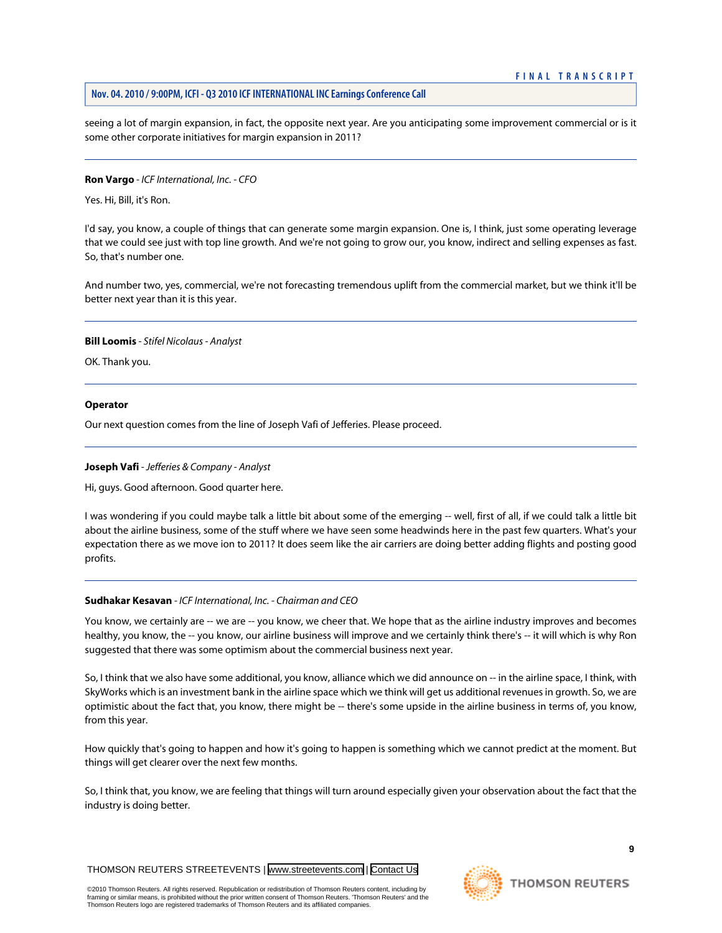# **Nov. 04. 2010 / 9:00PM, ICFI - Q3 2010 ICF INTERNATIONAL INC Earnings Conference Call**

seeing a lot of margin expansion, in fact, the opposite next year. Are you anticipating some improvement commercial or is it some other corporate initiatives for margin expansion in 2011?

# **Ron Vargo** *- ICF International, Inc. - CFO*

# Yes. Hi, Bill, it's Ron.

I'd say, you know, a couple of things that can generate some margin expansion. One is, I think, just some operating leverage that we could see just with top line growth. And we're not going to grow our, you know, indirect and selling expenses as fast. So, that's number one.

And number two, yes, commercial, we're not forecasting tremendous uplift from the commercial market, but we think it'll be better next year than it is this year.

# **Bill Loomis** *- Stifel Nicolaus - Analyst*

OK. Thank you.

# **Operator**

<span id="page-9-0"></span>Our next question comes from the line of Joseph Vafi of Jefferies. Please proceed.

# **Joseph Vafi** *- Jefferies & Company - Analyst*

Hi, guys. Good afternoon. Good quarter here.

I was wondering if you could maybe talk a little bit about some of the emerging -- well, first of all, if we could talk a little bit about the airline business, some of the stuff where we have seen some headwinds here in the past few quarters. What's your expectation there as we move ion to 2011? It does seem like the air carriers are doing better adding flights and posting good profits.

# **Sudhakar Kesavan** *- ICF International, Inc. - Chairman and CEO*

You know, we certainly are -- we are -- you know, we cheer that. We hope that as the airline industry improves and becomes healthy, you know, the -- you know, our airline business will improve and we certainly think there's -- it will which is why Ron suggested that there was some optimism about the commercial business next year.

So, I think that we also have some additional, you know, alliance which we did announce on -- in the airline space, I think, with SkyWorks which is an investment bank in the airline space which we think will get us additional revenues in growth. So, we are optimistic about the fact that, you know, there might be -- there's some upside in the airline business in terms of, you know, from this year.

How quickly that's going to happen and how it's going to happen is something which we cannot predict at the moment. But things will get clearer over the next few months.

So, I think that, you know, we are feeling that things will turn around especially given your observation about the fact that the industry is doing better.

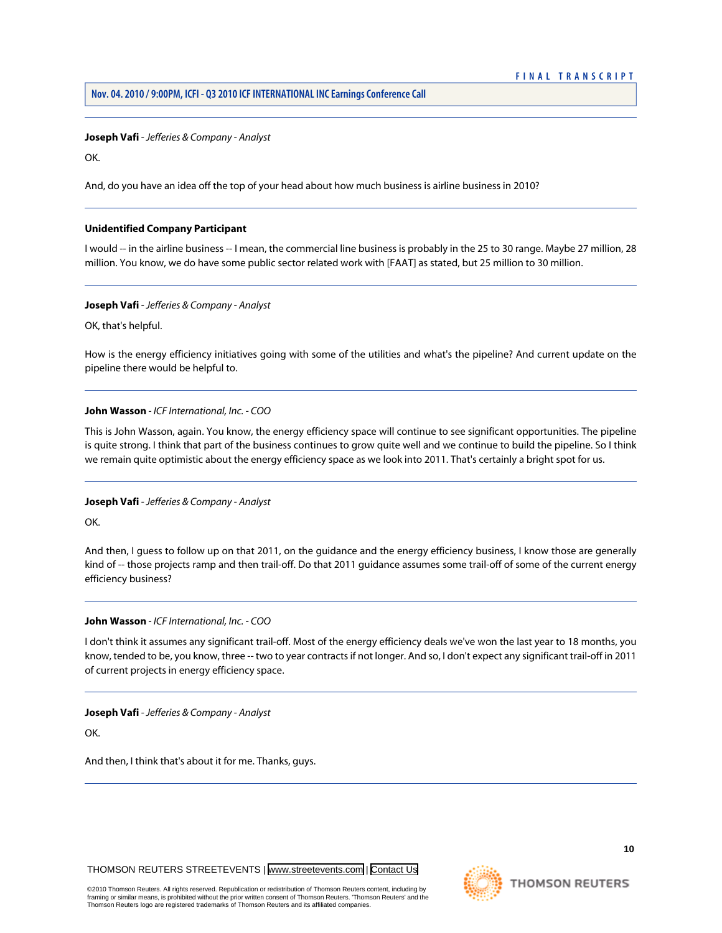# **Joseph Vafi** *- Jefferies & Company - Analyst*

OK.

And, do you have an idea off the top of your head about how much business is airline business in 2010?

#### **Unidentified Company Participant**

I would -- in the airline business -- I mean, the commercial line business is probably in the 25 to 30 range. Maybe 27 million, 28 million. You know, we do have some public sector related work with [FAAT] as stated, but 25 million to 30 million.

#### **Joseph Vafi** *- Jefferies & Company - Analyst*

OK, that's helpful.

How is the energy efficiency initiatives going with some of the utilities and what's the pipeline? And current update on the pipeline there would be helpful to.

# **John Wasson** *- ICF International, Inc. - COO*

This is John Wasson, again. You know, the energy efficiency space will continue to see significant opportunities. The pipeline is quite strong. I think that part of the business continues to grow quite well and we continue to build the pipeline. So I think we remain quite optimistic about the energy efficiency space as we look into 2011. That's certainly a bright spot for us.

# **Joseph Vafi** *- Jefferies & Company - Analyst*

OK.

And then, I guess to follow up on that 2011, on the guidance and the energy efficiency business, I know those are generally kind of -- those projects ramp and then trail-off. Do that 2011 guidance assumes some trail-off of some of the current energy efficiency business?

#### **John Wasson** *- ICF International, Inc. - COO*

I don't think it assumes any significant trail-off. Most of the energy efficiency deals we've won the last year to 18 months, you know, tended to be, you know, three -- two to year contracts if not longer. And so, I don't expect any significant trail-off in 2011 of current projects in energy efficiency space.

# **Joseph Vafi** *- Jefferies & Company - Analyst*

OK.

And then, I think that's about it for me. Thanks, guys.

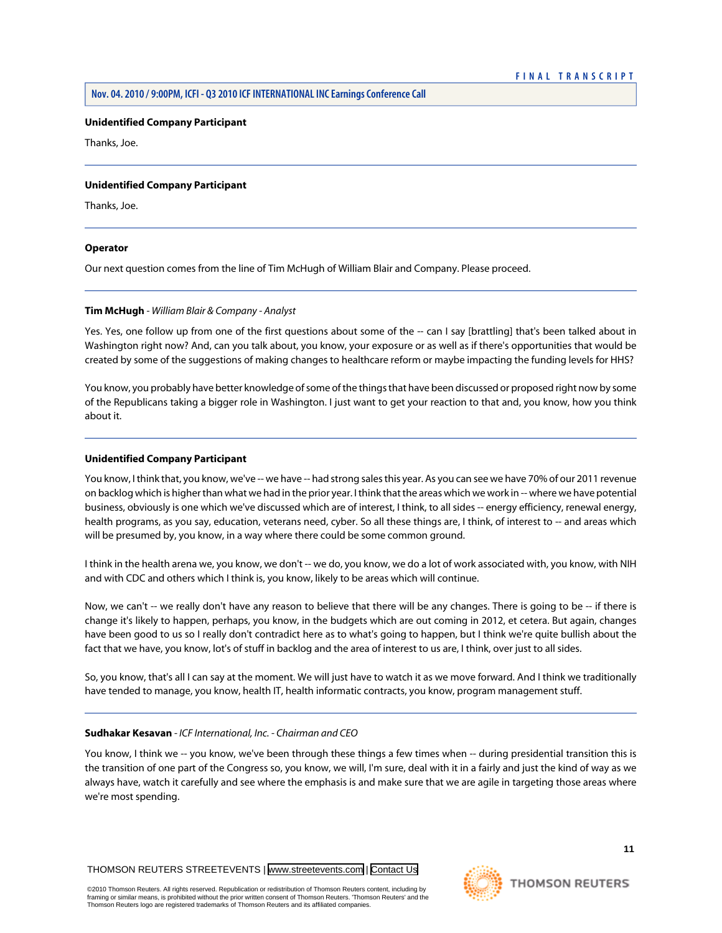# **Unidentified Company Participant**

Thanks, Joe.

# **Unidentified Company Participant**

Thanks, Joe.

# **Operator**

<span id="page-11-0"></span>Our next question comes from the line of Tim McHugh of William Blair and Company. Please proceed.

# **Tim McHugh** *- William Blair & Company - Analyst*

Yes. Yes, one follow up from one of the first questions about some of the -- can I say [brattling] that's been talked about in Washington right now? And, can you talk about, you know, your exposure or as well as if there's opportunities that would be created by some of the suggestions of making changes to healthcare reform or maybe impacting the funding levels for HHS?

You know, you probably have better knowledge of some of the things that have been discussed or proposed right now by some of the Republicans taking a bigger role in Washington. I just want to get your reaction to that and, you know, how you think about it.

# **Unidentified Company Participant**

You know, I think that, you know, we've -- we have -- had strong sales this year. As you can see we have 70% of our 2011 revenue on backlog which is higher than what we had in the prior year. I think that the areas which we work in -- where we have potential business, obviously is one which we've discussed which are of interest, I think, to all sides -- energy efficiency, renewal energy, health programs, as you say, education, veterans need, cyber. So all these things are, I think, of interest to -- and areas which will be presumed by, you know, in a way where there could be some common ground.

I think in the health arena we, you know, we don't -- we do, you know, we do a lot of work associated with, you know, with NIH and with CDC and others which I think is, you know, likely to be areas which will continue.

Now, we can't -- we really don't have any reason to believe that there will be any changes. There is going to be -- if there is change it's likely to happen, perhaps, you know, in the budgets which are out coming in 2012, et cetera. But again, changes have been good to us so I really don't contradict here as to what's going to happen, but I think we're quite bullish about the fact that we have, you know, lot's of stuff in backlog and the area of interest to us are, I think, over just to all sides.

So, you know, that's all I can say at the moment. We will just have to watch it as we move forward. And I think we traditionally have tended to manage, you know, health IT, health informatic contracts, you know, program management stuff.

# **Sudhakar Kesavan** *- ICF International, Inc. - Chairman and CEO*

You know, I think we -- you know, we've been through these things a few times when -- during presidential transition this is the transition of one part of the Congress so, you know, we will, I'm sure, deal with it in a fairly and just the kind of way as we always have, watch it carefully and see where the emphasis is and make sure that we are agile in targeting those areas where we're most spending.

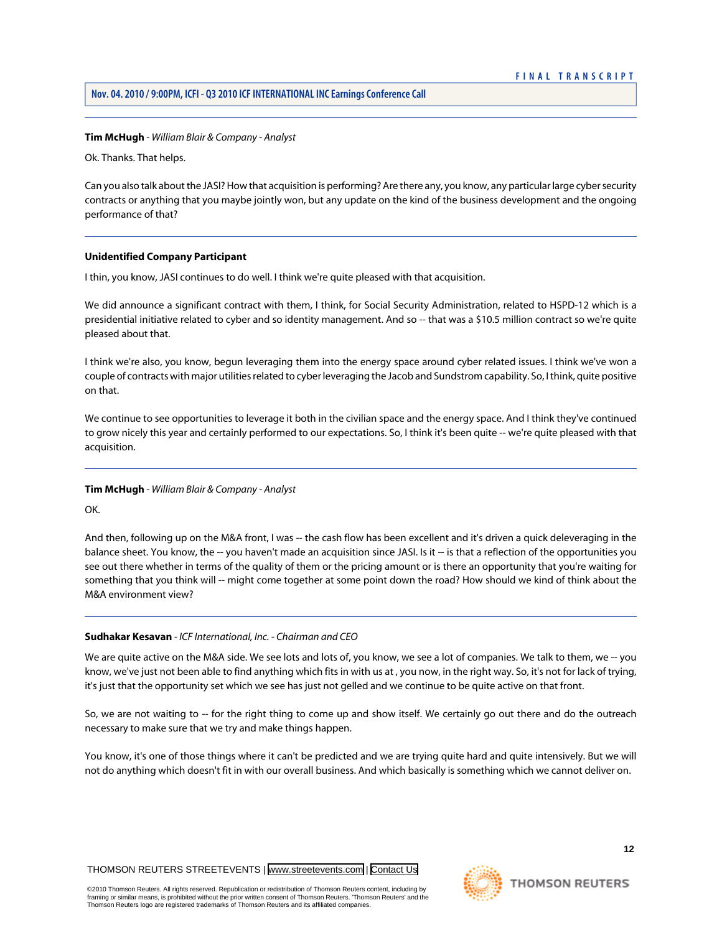# **Tim McHugh** *- William Blair & Company - Analyst*

Ok. Thanks. That helps.

Can you also talk about the JASI? How that acquisition is performing? Are there any, you know, any particular large cyber security contracts or anything that you maybe jointly won, but any update on the kind of the business development and the ongoing performance of that?

# **Unidentified Company Participant**

I thin, you know, JASI continues to do well. I think we're quite pleased with that acquisition.

We did announce a significant contract with them, I think, for Social Security Administration, related to HSPD-12 which is a presidential initiative related to cyber and so identity management. And so -- that was a \$10.5 million contract so we're quite pleased about that.

I think we're also, you know, begun leveraging them into the energy space around cyber related issues. I think we've won a couple of contracts with major utilities related to cyber leveraging the Jacob and Sundstrom capability. So, I think, quite positive on that.

We continue to see opportunities to leverage it both in the civilian space and the energy space. And I think they've continued to grow nicely this year and certainly performed to our expectations. So, I think it's been quite -- we're quite pleased with that acquisition.

# **Tim McHugh** *- William Blair & Company - Analyst*

OK.

And then, following up on the M&A front, I was -- the cash flow has been excellent and it's driven a quick deleveraging in the balance sheet. You know, the -- you haven't made an acquisition since JASI. Is it -- is that a reflection of the opportunities you see out there whether in terms of the quality of them or the pricing amount or is there an opportunity that you're waiting for something that you think will -- might come together at some point down the road? How should we kind of think about the M&A environment view?

# **Sudhakar Kesavan** *- ICF International, Inc. - Chairman and CEO*

We are quite active on the M&A side. We see lots and lots of, you know, we see a lot of companies. We talk to them, we -- you know, we've just not been able to find anything which fits in with us at , you now, in the right way. So, it's not for lack of trying, it's just that the opportunity set which we see has just not gelled and we continue to be quite active on that front.

So, we are not waiting to -- for the right thing to come up and show itself. We certainly go out there and do the outreach necessary to make sure that we try and make things happen.

You know, it's one of those things where it can't be predicted and we are trying quite hard and quite intensively. But we will not do anything which doesn't fit in with our overall business. And which basically is something which we cannot deliver on.

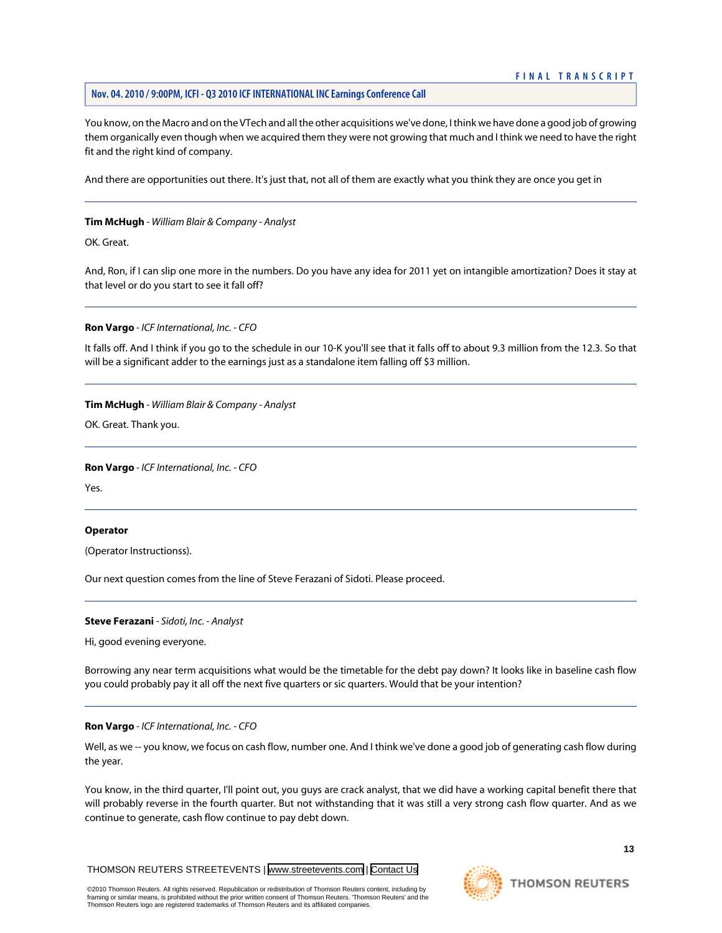# **Nov. 04. 2010 / 9:00PM, ICFI - Q3 2010 ICF INTERNATIONAL INC Earnings Conference Call**

You know, on the Macro and on the VTech and all the other acquisitions we've done, I think we have done a good job of growing them organically even though when we acquired them they were not growing that much and I think we need to have the right fit and the right kind of company.

And there are opportunities out there. It's just that, not all of them are exactly what you think they are once you get in

# **Tim McHugh** *- William Blair & Company - Analyst*

OK. Great.

And, Ron, if I can slip one more in the numbers. Do you have any idea for 2011 yet on intangible amortization? Does it stay at that level or do you start to see it fall off?

# **Ron Vargo** *- ICF International, Inc. - CFO*

It falls off. And I think if you go to the schedule in our 10-K you'll see that it falls off to about 9.3 million from the 12.3. So that will be a significant adder to the earnings just as a standalone item falling off \$3 million.

# **Tim McHugh** *- William Blair & Company - Analyst*

OK. Great. Thank you.

# **Ron Vargo** *- ICF International, Inc. - CFO*

Yes.

#### **Operator**

<span id="page-13-0"></span>(Operator Instructionss).

Our next question comes from the line of Steve Ferazani of Sidoti. Please proceed.

# **Steve Ferazani** *- Sidoti, Inc. - Analyst*

Hi, good evening everyone.

Borrowing any near term acquisitions what would be the timetable for the debt pay down? It looks like in baseline cash flow you could probably pay it all off the next five quarters or sic quarters. Would that be your intention?

#### **Ron Vargo** *- ICF International, Inc. - CFO*

Well, as we -- you know, we focus on cash flow, number one. And I think we've done a good job of generating cash flow during the year.

You know, in the third quarter, I'll point out, you guys are crack analyst, that we did have a working capital benefit there that will probably reverse in the fourth quarter. But not withstanding that it was still a very strong cash flow quarter. And as we continue to generate, cash flow continue to pay debt down.

THOMSON REUTERS STREETEVENTS | [www.streetevents.com](http://www.streetevents.com) | [Contact Us](http://www010.streetevents.com/contact.asp)

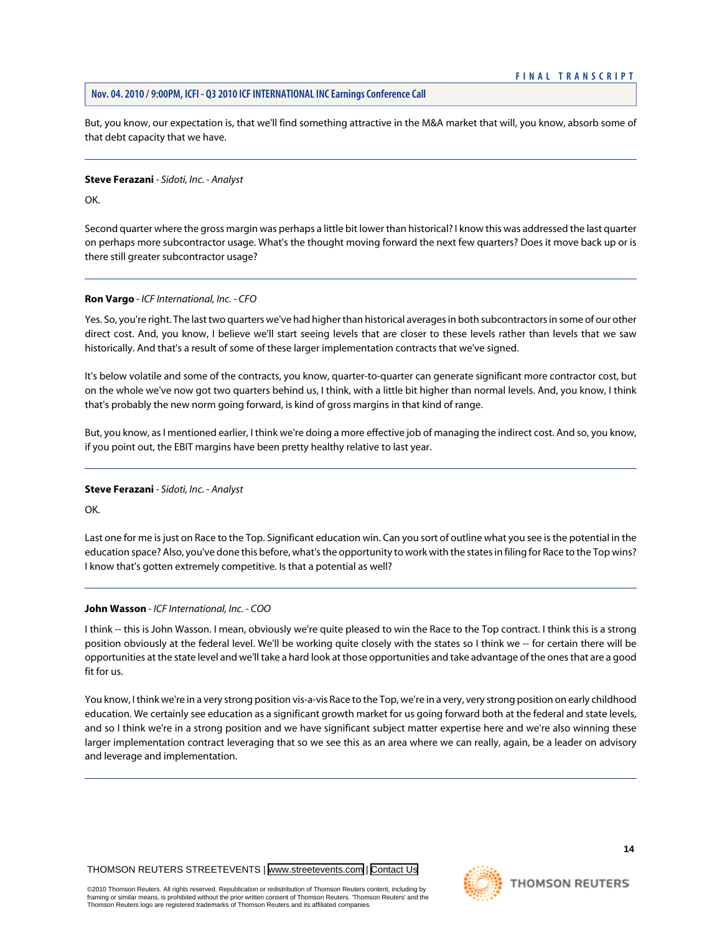But, you know, our expectation is, that we'll find something attractive in the M&A market that will, you know, absorb some of that debt capacity that we have.

#### **Steve Ferazani** *- Sidoti, Inc. - Analyst*

# OK.

Second quarter where the gross margin was perhaps a little bit lower than historical? I know this was addressed the last quarter on perhaps more subcontractor usage. What's the thought moving forward the next few quarters? Does it move back up or is there still greater subcontractor usage?

#### **Ron Vargo** *- ICF International, Inc. - CFO*

Yes. So, you're right. The last two quarters we've had higher than historical averages in both subcontractors in some of our other direct cost. And, you know, I believe we'll start seeing levels that are closer to these levels rather than levels that we saw historically. And that's a result of some of these larger implementation contracts that we've signed.

It's below volatile and some of the contracts, you know, quarter-to-quarter can generate significant more contractor cost, but on the whole we've now got two quarters behind us, I think, with a little bit higher than normal levels. And, you know, I think that's probably the new norm going forward, is kind of gross margins in that kind of range.

But, you know, as I mentioned earlier, I think we're doing a more effective job of managing the indirect cost. And so, you know, if you point out, the EBIT margins have been pretty healthy relative to last year.

#### **Steve Ferazani** *- Sidoti, Inc. - Analyst*

OK.

Last one for me is just on Race to the Top. Significant education win. Can you sort of outline what you see is the potential in the education space? Also, you've done this before, what's the opportunity to work with the states in filing for Race to the Top wins? I know that's gotten extremely competitive. Is that a potential as well?

#### **John Wasson** *- ICF International, Inc. - COO*

I think -- this is John Wasson. I mean, obviously we're quite pleased to win the Race to the Top contract. I think this is a strong position obviously at the federal level. We'll be working quite closely with the states so I think we -- for certain there will be opportunities at the state level and we'll take a hard look at those opportunities and take advantage of the ones that are a good fit for us.

You know, I think we're in a very strong position vis-a-vis Race to the Top, we're in a very, very strong position on early childhood education. We certainly see education as a significant growth market for us going forward both at the federal and state levels, and so I think we're in a strong position and we have significant subject matter expertise here and we're also winning these larger implementation contract leveraging that so we see this as an area where we can really, again, be a leader on advisory and leverage and implementation.

framing or similar means, is prohibited without the prior written consent of Thomson Reuters. 'Thomson Reuters' and the

Thomson Reuters logo are registered trademarks of Thomson Reuters and its affiliated companies.

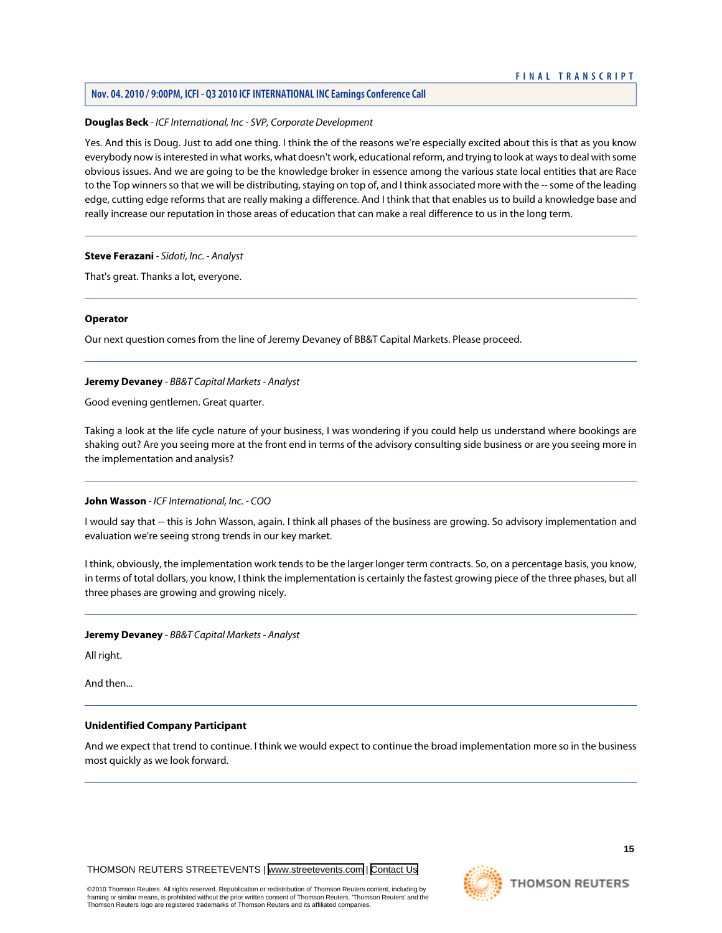# **Nov. 04. 2010 / 9:00PM, ICFI - Q3 2010 ICF INTERNATIONAL INC Earnings Conference Call**

# **Douglas Beck** *- ICF International, Inc - SVP, Corporate Development*

Yes. And this is Doug. Just to add one thing. I think the of the reasons we're especially excited about this is that as you know everybody now is interested in what works, what doesn't work, educational reform, and trying to look at ways to deal with some obvious issues. And we are going to be the knowledge broker in essence among the various state local entities that are Race to the Top winners so that we will be distributing, staying on top of, and I think associated more with the -- some of the leading edge, cutting edge reforms that are really making a difference. And I think that that enables us to build a knowledge base and really increase our reputation in those areas of education that can make a real difference to us in the long term.

# **Steve Ferazani** *- Sidoti, Inc. - Analyst*

That's great. Thanks a lot, everyone.

#### **Operator**

<span id="page-15-0"></span>Our next question comes from the line of Jeremy Devaney of BB&T Capital Markets. Please proceed.

# **Jeremy Devaney** *- BB&T Capital Markets - Analyst*

Good evening gentlemen. Great quarter.

Taking a look at the life cycle nature of your business, I was wondering if you could help us understand where bookings are shaking out? Are you seeing more at the front end in terms of the advisory consulting side business or are you seeing more in the implementation and analysis?

# **John Wasson** *- ICF International, Inc. - COO*

I would say that -- this is John Wasson, again. I think all phases of the business are growing. So advisory implementation and evaluation we're seeing strong trends in our key market.

I think, obviously, the implementation work tends to be the larger longer term contracts. So, on a percentage basis, you know, in terms of total dollars, you know, I think the implementation is certainly the fastest growing piece of the three phases, but all three phases are growing and growing nicely.

# **Jeremy Devaney** *- BB&T Capital Markets - Analyst*

All right.

And then...

# **Unidentified Company Participant**

And we expect that trend to continue. I think we would expect to continue the broad implementation more so in the business most quickly as we look forward.

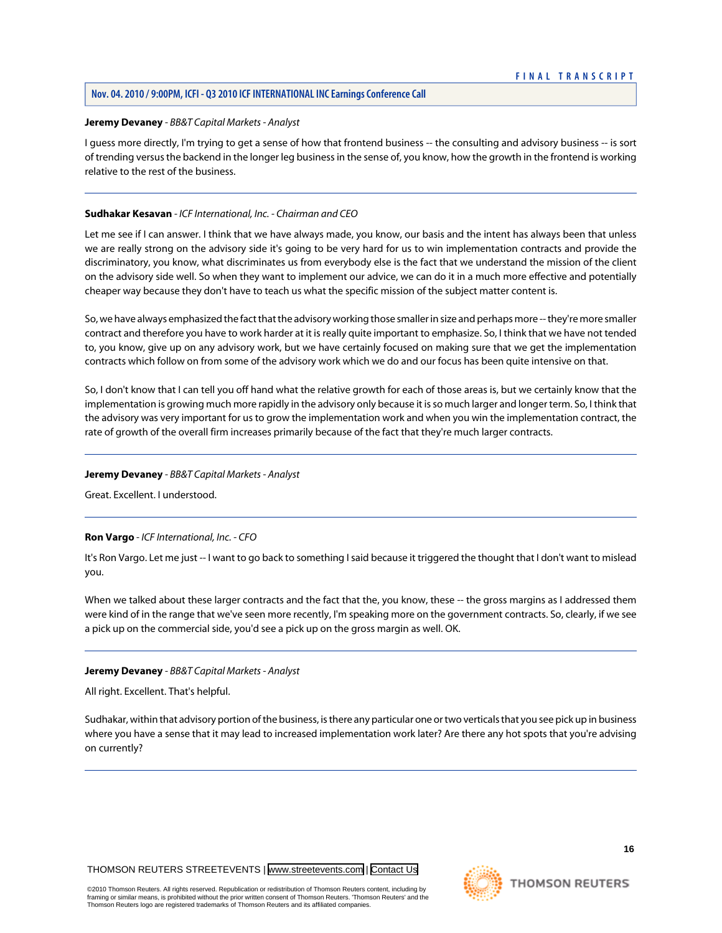#### **Jeremy Devaney** *- BB&T Capital Markets - Analyst*

I guess more directly, I'm trying to get a sense of how that frontend business -- the consulting and advisory business -- is sort of trending versus the backend in the longer leg business in the sense of, you know, how the growth in the frontend is working relative to the rest of the business.

#### **Sudhakar Kesavan** *- ICF International, Inc. - Chairman and CEO*

Let me see if I can answer. I think that we have always made, you know, our basis and the intent has always been that unless we are really strong on the advisory side it's going to be very hard for us to win implementation contracts and provide the discriminatory, you know, what discriminates us from everybody else is the fact that we understand the mission of the client on the advisory side well. So when they want to implement our advice, we can do it in a much more effective and potentially cheaper way because they don't have to teach us what the specific mission of the subject matter content is.

So, we have always emphasized the fact that the advisory working those smaller in size and perhaps more -- they're more smaller contract and therefore you have to work harder at it is really quite important to emphasize. So, I think that we have not tended to, you know, give up on any advisory work, but we have certainly focused on making sure that we get the implementation contracts which follow on from some of the advisory work which we do and our focus has been quite intensive on that.

So, I don't know that I can tell you off hand what the relative growth for each of those areas is, but we certainly know that the implementation is growing much more rapidly in the advisory only because it is so much larger and longer term. So, I think that the advisory was very important for us to grow the implementation work and when you win the implementation contract, the rate of growth of the overall firm increases primarily because of the fact that they're much larger contracts.

#### **Jeremy Devaney** *- BB&T Capital Markets - Analyst*

Great. Excellent. I understood.

#### **Ron Vargo** *- ICF International, Inc. - CFO*

It's Ron Vargo. Let me just -- I want to go back to something I said because it triggered the thought that I don't want to mislead you.

When we talked about these larger contracts and the fact that the, you know, these -- the gross margins as I addressed them were kind of in the range that we've seen more recently, I'm speaking more on the government contracts. So, clearly, if we see a pick up on the commercial side, you'd see a pick up on the gross margin as well. OK.

#### **Jeremy Devaney** *- BB&T Capital Markets - Analyst*

All right. Excellent. That's helpful.

Sudhakar, within that advisory portion of the business, is there any particular one or two verticals that you see pick up in business where you have a sense that it may lead to increased implementation work later? Are there any hot spots that you're advising on currently?

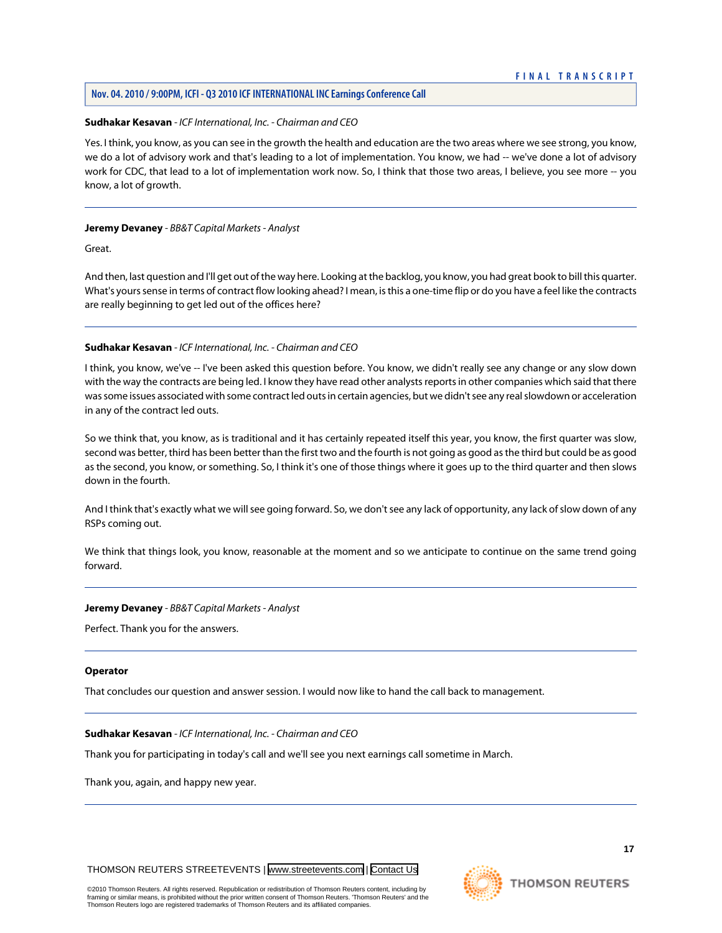# **Nov. 04. 2010 / 9:00PM, ICFI - Q3 2010 ICF INTERNATIONAL INC Earnings Conference Call**

#### **Sudhakar Kesavan** *- ICF International, Inc. - Chairman and CEO*

Yes. I think, you know, as you can see in the growth the health and education are the two areas where we see strong, you know, we do a lot of advisory work and that's leading to a lot of implementation. You know, we had -- we've done a lot of advisory work for CDC, that lead to a lot of implementation work now. So, I think that those two areas, I believe, you see more -- you know, a lot of growth.

#### **Jeremy Devaney** *- BB&T Capital Markets - Analyst*

Great.

And then, last question and I'll get out of the way here. Looking at the backlog, you know, you had great book to bill this quarter. What's yours sense in terms of contract flow looking ahead? I mean, is this a one-time flip or do you have a feel like the contracts are really beginning to get led out of the offices here?

# **Sudhakar Kesavan** *- ICF International, Inc. - Chairman and CEO*

I think, you know, we've -- I've been asked this question before. You know, we didn't really see any change or any slow down with the way the contracts are being led. I know they have read other analysts reports in other companies which said that there was some issues associated with some contract led outs in certain agencies, but we didn't see any real slowdown or acceleration in any of the contract led outs.

So we think that, you know, as is traditional and it has certainly repeated itself this year, you know, the first quarter was slow, second was better, third has been better than the first two and the fourth is not going as good as the third but could be as good as the second, you know, or something. So, I think it's one of those things where it goes up to the third quarter and then slows down in the fourth.

And I think that's exactly what we will see going forward. So, we don't see any lack of opportunity, any lack of slow down of any RSPs coming out.

We think that things look, you know, reasonable at the moment and so we anticipate to continue on the same trend going forward.

#### **Jeremy Devaney** *- BB&T Capital Markets - Analyst*

Perfect. Thank you for the answers.

#### **Operator**

That concludes our question and answer session. I would now like to hand the call back to management.

#### **Sudhakar Kesavan** *- ICF International, Inc. - Chairman and CEO*

Thank you for participating in today's call and we'll see you next earnings call sometime in March.

Thank you, again, and happy new year.

THOMSON REUTERS STREETEVENTS | [www.streetevents.com](http://www.streetevents.com) | [Contact Us](http://www010.streetevents.com/contact.asp)